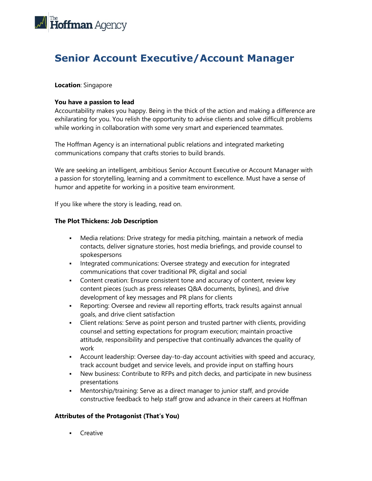

# **Senior Account Executive/Account Manager**

## **Location**: Singapore

### **You have a passion to lead**

Accountability makes you happy. Being in the thick of the action and making a difference are exhilarating for you. You relish the opportunity to advise clients and solve difficult problems while working in collaboration with some very smart and experienced teammates.

The Hoffman Agency is an international public relations and integrated marketing communications company that crafts stories to build brands.

We are seeking an intelligent, ambitious Senior Account Executive or Account Manager with a passion for storytelling, learning and a commitment to excellence. Must have a sense of humor and appetite for working in a positive team environment.

If you like where the story is leading, read on.

#### **The Plot Thickens: Job Description**

- Media relations: Drive strategy for media pitching, maintain a network of media contacts, deliver signature stories, host media briefings, and provide counsel to spokespersons
- **•** Integrated communications: Oversee strategy and execution for integrated communications that cover traditional PR, digital and social
- **•** Content creation: Ensure consistent tone and accuracy of content, review key content pieces (such as press releases Q&A documents, bylines), and drive development of key messages and PR plans for clients
- Reporting: Oversee and review all reporting efforts, track results against annual goals, and drive client satisfaction
- **•** Client relations: Serve as point person and trusted partner with clients, providing counsel and setting expectations for program execution; maintain proactive attitude, responsibility and perspective that continually advances the quality of work
- **EXECOUNTED Account leadership: Oversee day-to-day account activities with speed and accuracy,** track account budget and service levels, and provide input on staffing hours
- New business: Contribute to RFPs and pitch decks, and participate in new business presentations
- Mentorship/training: Serve as a direct manager to junior staff, and provide constructive feedback to help staff grow and advance in their careers at Hoffman

#### **Attributes of the Protagonist (That's You)**

■ Creative